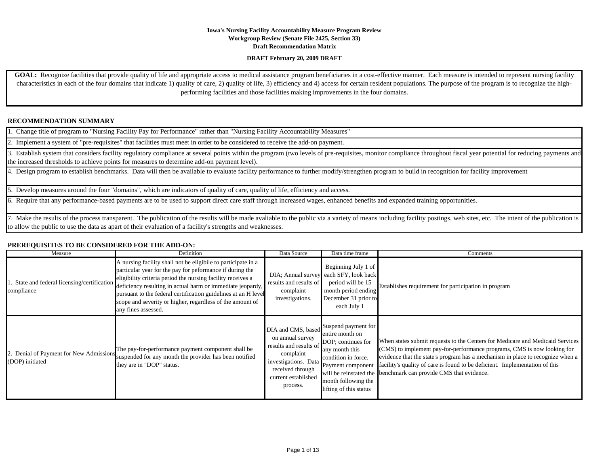#### **DRAFT February 20, 2009 DRAFT**

GOAL: Recognize facilities that provide quality of life and appropriate access to medical assistance program beneficiaries in a cost-effective manner. Each measure is intended to represent nursing facility characteristics in each of the four domains that indicate 1) quality of care, 2) quality of life, 3) efficiency and 4) access for certain resident populations. The purpose of the program is to recognize the highperforming facilities and those facilities making improvements in the four domains.

### **RECOMMENDATION SUMMARY**

1. Change title of program to "Nursing Facility Pay for Performance" rather than "Nursing Facility Accountability Measures"

2. Implement a system of "pre-requisites" that facilities must meet in order to be considered to receive the add-on payment.

3. Establish system that considers facility regulatory compliance at several points within the program (two levels of pre-requisites, monitor compliance throughout fiscal year potential for reducing payments and the increased thresholds to achieve points for measures to determine add-on payment level).

4. Design program to establish benchmarks. Data will then be available to evaluate facility performance to further modify/strengthen program to build in recognition for facility improvement

5. Develop measures around the four "domains", which are indicators of quality of care, quality of life, efficiency and access.

6. Require that any performance-based payments are to be used to support direct care staff through increased wages, enhanced benefits and expanded training opportunities.

7. Make the results of the process transparent. The publication of the results will be made avaliable to the public via a variety of means including facility postings, web sites, etc. The intent of the publication is to allow the public to use the data as apart of their evaluation of a facility's strengths and weaknesses.

#### **PREREQUISITES TO BE CONSIDERED FOR THE ADD-ON:**

| Measure                                                    | Definition                                                                                                                                                                                                                                                                                                                                                                                                   | Data Source                                                                                                                            | Data time frame                                                                                                                                                                                                                  | Comments                                                                                                                                                                                                                                                                                                                                                              |
|------------------------------------------------------------|--------------------------------------------------------------------------------------------------------------------------------------------------------------------------------------------------------------------------------------------------------------------------------------------------------------------------------------------------------------------------------------------------------------|----------------------------------------------------------------------------------------------------------------------------------------|----------------------------------------------------------------------------------------------------------------------------------------------------------------------------------------------------------------------------------|-----------------------------------------------------------------------------------------------------------------------------------------------------------------------------------------------------------------------------------------------------------------------------------------------------------------------------------------------------------------------|
| State and federal licensing/certification<br>compliance    | A nursing facility shall not be eligibile to participate in a<br>particular year for the pay for peformance if during the<br>eligibility criteria period the nursing facility receives a<br>deficiency resulting in actual harm or immediate jeopardy,<br>pursuant to the federal certification guidelines at an H level<br>scope and severity or higher, regardless of the amount of<br>any fines assessed. | results and results of<br>complaint<br>investigations.                                                                                 | Beginning July 1 of<br>DIA; Annual survey each SFY, look back<br>period will be 15<br>month period ending<br>December 31 prior to<br>each July 1                                                                                 | Establishes requirement for participation in program                                                                                                                                                                                                                                                                                                                  |
| 2. Denial of Payment for New Admissions<br>(DOP) initiated | The pay-for-performance payment component shall be<br>suspended for any month the provider has been notified<br>they are in "DOP" status.                                                                                                                                                                                                                                                                    | on annual survey<br>results and results of<br>complaint<br>investigations. Data<br>received through<br>current established<br>process. | <b>IDIA</b> and CMS, based Suspend payment for<br>entire month on<br>DOP; continues for<br>any month this<br>condition in force.<br>Payment component<br>will be reinstated the<br>month following the<br>lifting of this status | When states submit requests to the Centers for Medicare and Medicaid Services<br>(CMS) to implement pay-for-performance programs, CMS is now looking for<br>evidence that the state's program has a mechanism in place to recognize when a<br>facility's quality of care is found to be deficient. Implementation of this<br>benchmark can provide CMS that evidence. |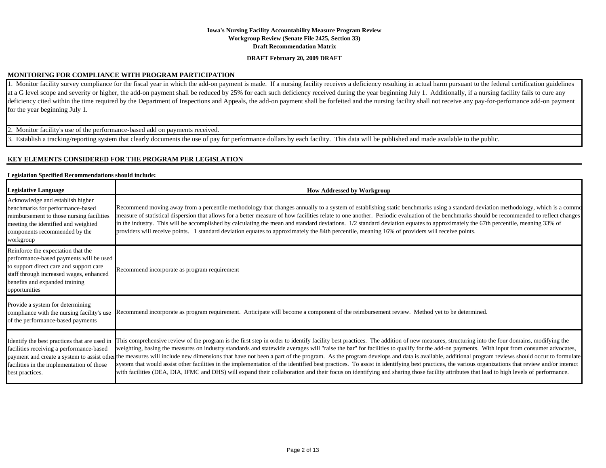#### **DRAFT February 20, 2009 DRAFT**

#### **MONITORING FOR COMPLIANCE WITH PROGRAM PARTICIPATION**

1. Monitor facility survey compliance for the fiscal year in which the add-on payment is made. If a nursing facility receives a deficiency resulting in actual harm pursuant to the federal certification guidelines at a G level scope and severity or higher, the add-on payment shall be reduced by 25% for each such deficiency received during the year beginning July 1. Additionally, if a nursing facility fails to cure any deficiency cited within the time required by the Department of Inspections and Appeals, the add-on payment shall be forfeited and the nursing facility shall not receive any pay-for-perfomance add-on payment for the year beginning July 1.

2. Monitor facility's use of the performance-based add on payments received.

3. Establish a tracking/reporting system that clearly documents the use of pay for performance dollars by each facility. This data will be published and made available to the public.

#### **KEY ELEMENTS CONSIDERED FOR THE PROGRAM PER LEGISLATION**

#### **Legislation Specified Recommendations should include:**

| <b>Legislative Language</b>                                                                                                                                                                                            | <b>How Addressed by Workgroup</b>                                                                                                                                                                                                                                                                                                                                                                                                                                                                                                                                                                                                                                                                                                                                                                                                                                                                                                                                                                                  |
|------------------------------------------------------------------------------------------------------------------------------------------------------------------------------------------------------------------------|--------------------------------------------------------------------------------------------------------------------------------------------------------------------------------------------------------------------------------------------------------------------------------------------------------------------------------------------------------------------------------------------------------------------------------------------------------------------------------------------------------------------------------------------------------------------------------------------------------------------------------------------------------------------------------------------------------------------------------------------------------------------------------------------------------------------------------------------------------------------------------------------------------------------------------------------------------------------------------------------------------------------|
| Acknowledge and establish higher<br>benchmarks for performance-based<br>reimbursement to those nursing facilities<br>meeting the identified and weighted<br>components recommended by the<br>workgroup                 | Recommend moving away from a percentile methodology that changes annually to a system of establishing static benchmarks using a standard deviation methodology, which is a commo<br>measure of statistical dispersion that allows for a better measure of how facilities relate to one another. Periodic evaluation of the benchmarks should be recommended to reflect changes<br>in the industry. This will be accomplished by calculating the mean and standard deviations. 1/2 standard deviation equates to approximately the 67th percentile, meaning 33% of<br>providers will receive points. 1 standard deviation equates to approximately the 84th percentile, meaning 16% of providers will receive points.                                                                                                                                                                                                                                                                                               |
| Reinforce the expectation that the<br>performance-based payments will be used<br>to support direct care and support care<br>staff through increased wages, enhanced<br>benefits and expanded training<br>opportunities | Recommend incorporate as program requirement                                                                                                                                                                                                                                                                                                                                                                                                                                                                                                                                                                                                                                                                                                                                                                                                                                                                                                                                                                       |
| Provide a system for determining<br>compliance with the nursing facility's use<br>of the performance-based payments                                                                                                    | Recommend incorporate as program requirement. Anticipate will become a component of the reimbursement review. Method yet to be determined.                                                                                                                                                                                                                                                                                                                                                                                                                                                                                                                                                                                                                                                                                                                                                                                                                                                                         |
| Identify the best practices that are used in<br>facilities receiving a performance-based<br>facilities in the implementation of those<br>best practices.                                                               | This comprehensive review of the program is the first step in order to identify facility best practices. The addition of new measures, structuring into the four domains, modifying the<br>weighting, basing the measures on industry standards and statewide averages will "raise the bar" for facilities to qualify for the add-on payments. With input from consumer advocates,<br>payment and create a system to assist other the measures will include new dimensions that have not been a part of the program. As the program develops and data is available, additional program reviews should occur to formu<br>system that would assist other facilities in the implementation of the identified best practices. To assist in identifying best practices, the various organizations that review and/or interact<br>with facilities (DEA, DIA, IFMC and DHS) will expand their collaboration and their focus on identifying and sharing those facility attributes that lead to high levels of performance. |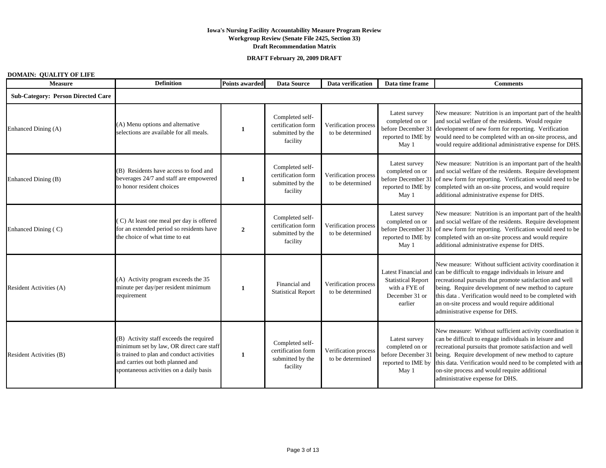#### **DRAFT February 20, 2009 DRAFT**

### **DOMAIN: QUALITY OF LIFE**

| <b>Measure</b>                            | <b>Definition</b>                                                                                                                                                                                               | <b>Points awarded</b> | <b>Data Source</b>                                                    | Data verification                        | Data time frame                                                         | <b>Comments</b>                                                                                                                                                                                                                                                                                                                                                                                            |
|-------------------------------------------|-----------------------------------------------------------------------------------------------------------------------------------------------------------------------------------------------------------------|-----------------------|-----------------------------------------------------------------------|------------------------------------------|-------------------------------------------------------------------------|------------------------------------------------------------------------------------------------------------------------------------------------------------------------------------------------------------------------------------------------------------------------------------------------------------------------------------------------------------------------------------------------------------|
| <b>Sub-Category: Person Directed Care</b> |                                                                                                                                                                                                                 |                       |                                                                       |                                          |                                                                         |                                                                                                                                                                                                                                                                                                                                                                                                            |
| Enhanced Dining (A)                       | (A) Menu options and alternative<br>selections are available for all meals.                                                                                                                                     | 1                     | Completed self-<br>certification form<br>submitted by the<br>facility | Verification process<br>to be determined | Latest survey<br>completed on or<br>reported to IME by<br>May 1         | New measure: Nutrition is an important part of the health<br>and social welfare of the residents. Would require<br>before December 31 development of new form for reporting. Verification<br>would need to be completed with an on-site process, and<br>would require additional administrative expense for DHS.                                                                                           |
| Enhanced Dining (B)                       | (B) Residents have access to food and<br>beverages 24/7 and staff are empowered<br>to honor resident choices                                                                                                    | 1                     | Completed self-<br>certification form<br>submitted by the<br>facility | Verification process<br>to be determined | Latest survey<br>completed on or<br>reported to IME by<br>May 1         | New measure: Nutrition is an important part of the health<br>and social welfare of the residents. Require development<br>before December 31 of new form for reporting. Verification would need to be<br>completed with an on-site process, and would require<br>additional administrative expense for DHS.                                                                                                 |
| Enhanced Dining (C)                       | C) At least one meal per day is offered<br>for an extended period so residents have<br>the choice of what time to eat                                                                                           | $\overline{2}$        | Completed self-<br>certification form<br>submitted by the<br>facility | Verification process<br>to be determined | Latest survey<br>completed on or<br>reported to IME by<br>May 1         | New measure: Nutrition is an important part of the health<br>and social welfare of the residents. Require development<br>before December 31 of new form for reporting. Verification would need to be<br>completed with an on-site process and would require<br>additional administrative expense for DHS.                                                                                                  |
| Resident Activities (A)                   | (A) Activity program exceeds the 35<br>minute per day/per resident minimum<br>requirement                                                                                                                       | 1                     | Financial and<br><b>Statistical Report</b>                            | Verification process<br>to be determined | <b>Statistical Report</b><br>with a FYE of<br>December 31 or<br>earlier | New measure: Without sufficient activity coordination it<br>Latest Financial and can be difficult to engage individuals in leisure and<br>recreational pursuits that promote satisfaction and well<br>being. Require development of new method to capture<br>this data. Verification would need to be completed with<br>an on-site process and would require additional<br>administrative expense for DHS. |
| Resident Activities (B)                   | (B) Activity staff exceeds the required<br>minimum set by law, OR direct care staff<br>is trained to plan and conduct activities<br>and carries out both planned and<br>spontaneous activities on a daily basis | 1                     | Completed self-<br>certification form<br>submitted by the<br>facility | Verification process<br>to be determined | Latest survey<br>completed on or<br>reported to IME by<br>May 1         | New measure: Without sufficient activity coordination it<br>can be difficult to engage individuals in leisure and<br>recreational pursuits that promote satisfaction and well<br>before December 31 being. Require development of new method to capture<br>this data. Verification would need to be completed with an<br>on-site process and would require additional<br>administrative expense for DHS.   |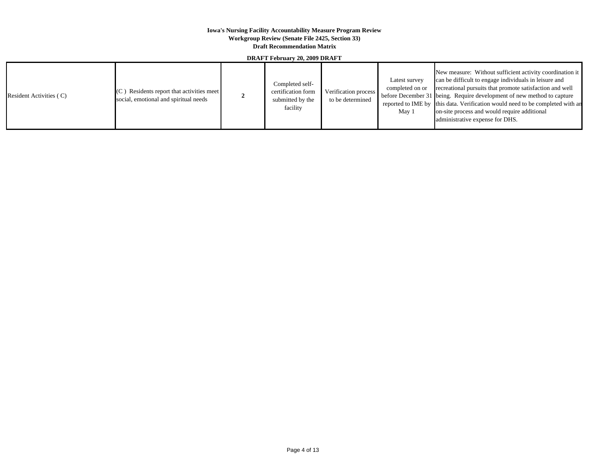**DRAFT February 20, 2009 DRAFT**

| $(C)$ Residents report that activities meet<br>Resident Activities (C)<br>social, emotional and spiritual needs |  | Completed self-<br>certification form<br>submitted by the<br>facility | Verification process<br>to be determined | Latest survey<br>completed on or<br>May 1 | New measure: Without sufficient activity coordination it<br>can be difficult to engage individuals in leisure and<br>recreational pursuits that promote satisfaction and well<br>before December 31 being. Require development of new method to capture<br>reported to IME by this data. Verification would need to be completed with an<br>on-site process and would require additional<br>administrative expense for DHS. |
|-----------------------------------------------------------------------------------------------------------------|--|-----------------------------------------------------------------------|------------------------------------------|-------------------------------------------|-----------------------------------------------------------------------------------------------------------------------------------------------------------------------------------------------------------------------------------------------------------------------------------------------------------------------------------------------------------------------------------------------------------------------------|
|-----------------------------------------------------------------------------------------------------------------|--|-----------------------------------------------------------------------|------------------------------------------|-------------------------------------------|-----------------------------------------------------------------------------------------------------------------------------------------------------------------------------------------------------------------------------------------------------------------------------------------------------------------------------------------------------------------------------------------------------------------------------|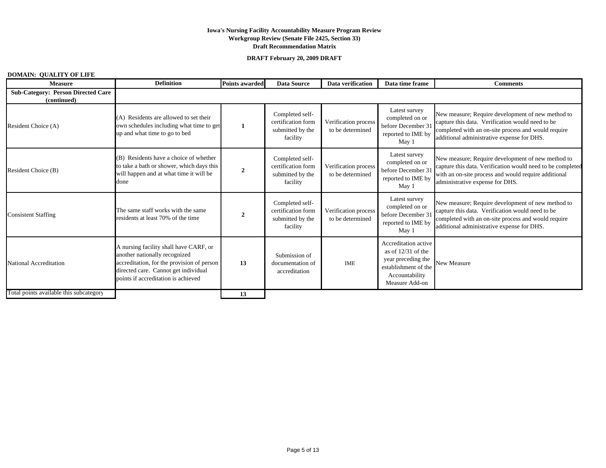#### **DRAFT February 20, 2009 DRAFT**

# **DOMAIN: QUALITY OF LIFE**

| <b>Measure</b>                                           | <b>Definition</b>                                                                                                                                                                                    | <b>Points awarded</b> | Data Source                                                           | Data verification                        | Data time frame                                                                                                                | <b>Comments</b>                                                                                                                                                                                            |
|----------------------------------------------------------|------------------------------------------------------------------------------------------------------------------------------------------------------------------------------------------------------|-----------------------|-----------------------------------------------------------------------|------------------------------------------|--------------------------------------------------------------------------------------------------------------------------------|------------------------------------------------------------------------------------------------------------------------------------------------------------------------------------------------------------|
| <b>Sub-Category: Person Directed Care</b><br>(continued) |                                                                                                                                                                                                      |                       |                                                                       |                                          |                                                                                                                                |                                                                                                                                                                                                            |
| Resident Choice (A)                                      | (A) Residents are allowed to set their<br>own schedules including what time to get<br>up and what time to go to bed                                                                                  | 1                     | Completed self-<br>certification form<br>submitted by the<br>facility | Verification process<br>to be determined | Latest survey<br>completed on or<br>before December 31<br>reported to IME by<br>May 1                                          | New measure; Require development of new method to<br>capture this data. Verification would need to be<br>completed with an on-site process and would require<br>additional administrative expense for DHS. |
| Resident Choice (B)                                      | (B) Residents have a choice of whether<br>to take a bath or shower, which days this<br>will happen and at what time it will be<br>done                                                               | $\overline{2}$        | Completed self-<br>certification form<br>submitted by the<br>facility | Verification process<br>to be determined | Latest survey<br>completed on or<br>before December 31<br>reported to IME by<br>May 1                                          | New measure; Require development of new method to<br>capture this data. Verification would need to be completed<br>with an on-site process and would require additional<br>administrative expense for DHS. |
| <b>Consistent Staffing</b>                               | The same staff works with the same<br>residents at least 70% of the time                                                                                                                             | $\overline{2}$        | Completed self-<br>certification form<br>submitted by the<br>facility | Verification process<br>to be determined | Latest survey<br>completed on or<br>before December 31<br>reported to IME by<br>May 1                                          | New measure; Require development of new method to<br>capture this data. Verification would need to be<br>completed with an on-site process and would require<br>additional administrative expense for DHS. |
| National Accreditation                                   | A nursing facility shall have CARF, or<br>another nationally recognized<br>accreditation, for the provision of person<br>directed care. Cannot get individual<br>points if accreditation is achieved | 13                    | Submission of<br>documentation of<br>accreditation                    | <b>IME</b>                               | Accreditation active<br>as of $12/31$ of the<br>year preceding the<br>establishment of the<br>Accountability<br>Measure Add-on | New Measure                                                                                                                                                                                                |
| Total points available this subcategory                  |                                                                                                                                                                                                      | 13                    |                                                                       |                                          |                                                                                                                                |                                                                                                                                                                                                            |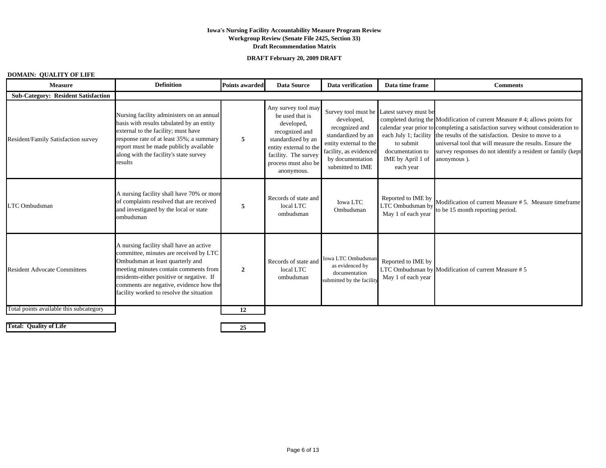**DRAFT February 20, 2009 DRAFT**

### **DOMAIN: QUALITY OF LIFE**

| <b>Measure</b>                             | <b>Definition</b>                                                                                                                                                                                                                                                                                  | <b>Points awarded</b> | <b>Data Source</b>                                                                                                                                                                   | Data verification                                                                                                                              | Data time frame                                                                                              | <b>Comments</b>                                                                                                                                                                                                                                                                                                                                                                        |
|--------------------------------------------|----------------------------------------------------------------------------------------------------------------------------------------------------------------------------------------------------------------------------------------------------------------------------------------------------|-----------------------|--------------------------------------------------------------------------------------------------------------------------------------------------------------------------------------|------------------------------------------------------------------------------------------------------------------------------------------------|--------------------------------------------------------------------------------------------------------------|----------------------------------------------------------------------------------------------------------------------------------------------------------------------------------------------------------------------------------------------------------------------------------------------------------------------------------------------------------------------------------------|
| <b>Sub-Category: Resident Satisfaction</b> |                                                                                                                                                                                                                                                                                                    |                       |                                                                                                                                                                                      |                                                                                                                                                |                                                                                                              |                                                                                                                                                                                                                                                                                                                                                                                        |
| Resident/Family Satisfaction survey        | Nursing facility administers on an annual<br>basis with results tabulated by an entity<br>external to the facility; must have<br>response rate of at least 35%; a summary<br>report must be made publicly available<br>along with the facility's state survey<br>results                           | 5                     | Any survey tool may<br>be used that is<br>developed,<br>recognized and<br>standardized by an<br>entity external to the<br>facility. The survey<br>process must also be<br>anonymous. | developed,<br>recognized and<br>standardized by an<br>entity external to the<br>facility, as evidenced<br>by documentation<br>submitted to IME | Survey tool must be Latest survey must be<br>to submit<br>documentation to<br>IME by April 1 of<br>each year | completed during the Modification of current Measure #4; allows points for<br>calendar year prior to completing a satisfaction survey without consideration to<br>each July 1; facility the results of the satisfaction. Desire to move to a<br>universal tool that will measure the results. Ensure the<br>survey responses do not identify a resident or family (kept<br>anonymous). |
| LTC Ombudsman                              | A nursing facility shall have 70% or more<br>of complaints resolved that are received<br>and investigated by the local or state<br>ombudsman                                                                                                                                                       | 5                     | Records of state and<br>local LTC<br>ombudsman                                                                                                                                       | <b>Iowa LTC</b><br>Ombudsman                                                                                                                   | Reported to IME by<br>LTC Ombudsman by<br>May 1 of each year                                                 | Modification of current Measure # 5. Measure timeframe<br>to be 15 month reporting period.                                                                                                                                                                                                                                                                                             |
| <b>Resident Advocate Committees</b>        | A nursing facility shall have an active<br>committee, minutes are received by LTC<br>Ombudsman at least quarterly and<br>meeting minutes contain comments from<br>residents-either positive or negative. If<br>comments are negative, evidence how the<br>facility worked to resolve the situation | $\overline{2}$        | Records of state and<br>local LTC<br>ombudsman                                                                                                                                       | Iowa LTC Ombudsman<br>as evidenced by<br>documentation<br>submitted by the facility                                                            | Reported to IME by<br>May 1 of each year                                                                     | LTC Ombudsman by Modification of current Measure #5                                                                                                                                                                                                                                                                                                                                    |
| Total points available this subcategory    |                                                                                                                                                                                                                                                                                                    | 12                    |                                                                                                                                                                                      |                                                                                                                                                |                                                                                                              |                                                                                                                                                                                                                                                                                                                                                                                        |
| <b>Total: Quality of Life</b>              |                                                                                                                                                                                                                                                                                                    | 25                    |                                                                                                                                                                                      |                                                                                                                                                |                                                                                                              |                                                                                                                                                                                                                                                                                                                                                                                        |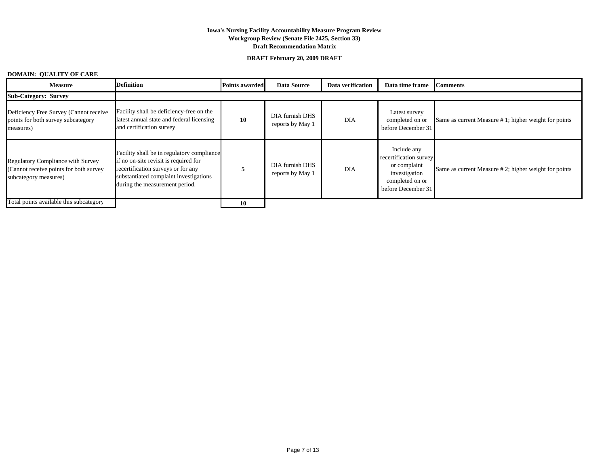**DRAFT February 20, 2009 DRAFT**

# **DOMAIN: QUALITY OF CARE**

| <b>Measure</b>                                                                                       | <b>Definition</b>                                                                                                                                                                                     | <b>Points awarded</b> | <b>Data Source</b>                  | Data verification | Data time frame                                                                                                 | <b>Comments</b>                                      |
|------------------------------------------------------------------------------------------------------|-------------------------------------------------------------------------------------------------------------------------------------------------------------------------------------------------------|-----------------------|-------------------------------------|-------------------|-----------------------------------------------------------------------------------------------------------------|------------------------------------------------------|
| <b>Sub-Category: Survey</b>                                                                          |                                                                                                                                                                                                       |                       |                                     |                   |                                                                                                                 |                                                      |
| Deficiency Free Survey (Cannot receive<br>points for both survey subcategory<br>measures)            | Facility shall be deficiency-free on the<br>latest annual state and federal licensing<br>and certification survey                                                                                     | <b>10</b>             | DIA furnish DHS<br>reports by May 1 | <b>DIA</b>        | Latest survey<br>completed on or<br>before December 31                                                          | Same as current Measure #1; higher weight for points |
| Regulatory Compliance with Survey<br>(Cannot receive points for both survey<br>subcategory measures) | Facility shall be in regulatory compliance<br>if no on-site revisit is required for<br>recertification surveys or for any<br>substantiated complaint investigations<br>during the measurement period. |                       | DIA furnish DHS<br>reports by May 1 | <b>DIA</b>        | Include any<br>recertification survey<br>or complaint<br>investigation<br>completed on or<br>before December 31 | Same as current Measure #2; higher weight for points |
| Total points available this subcategory                                                              |                                                                                                                                                                                                       | 10                    |                                     |                   |                                                                                                                 |                                                      |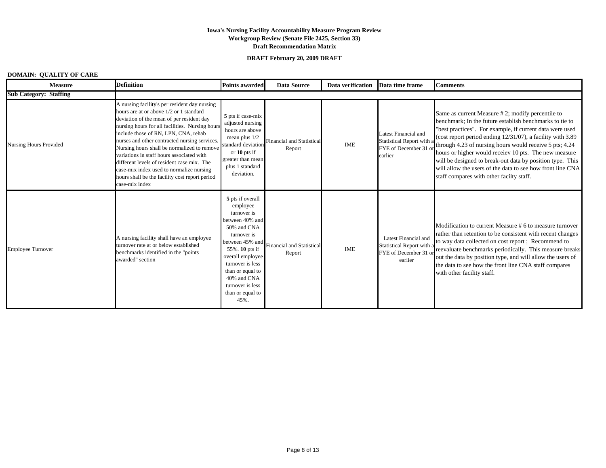**DRAFT February 20, 2009 DRAFT**

# **DOMAIN: QUALITY OF CARE**

| <b>Measure</b>                | <b>Definition</b>                                                                                                                                                                                                                                                                                                                                                                                                                                                                                                                           | <b>Points awarded</b>                                                                                                                                                                                                                     | <b>Data Source</b>                                  | Data verification | Data time frame                                                                       | <b>Comments</b>                                                                                                                                                                                                                                                                                                                                                                                                                                                                                                                      |
|-------------------------------|---------------------------------------------------------------------------------------------------------------------------------------------------------------------------------------------------------------------------------------------------------------------------------------------------------------------------------------------------------------------------------------------------------------------------------------------------------------------------------------------------------------------------------------------|-------------------------------------------------------------------------------------------------------------------------------------------------------------------------------------------------------------------------------------------|-----------------------------------------------------|-------------------|---------------------------------------------------------------------------------------|--------------------------------------------------------------------------------------------------------------------------------------------------------------------------------------------------------------------------------------------------------------------------------------------------------------------------------------------------------------------------------------------------------------------------------------------------------------------------------------------------------------------------------------|
| <b>Sub Category: Staffing</b> |                                                                                                                                                                                                                                                                                                                                                                                                                                                                                                                                             |                                                                                                                                                                                                                                           |                                                     |                   |                                                                                       |                                                                                                                                                                                                                                                                                                                                                                                                                                                                                                                                      |
| Nursing Hours Provided        | A nursing facility's per resident day nursing<br>hours are at or above 1/2 or 1 standard<br>deviation of the mean of per resident day<br>nursing hours for all facilities. Nursing hours<br>include those of RN, LPN, CNA, rehab<br>nurses and other contracted nursing services.<br>Nursing hours shall be normalized to remove<br>variations in staff hours associated with<br>lifferent levels of resident case mix. The<br>case-mix index used to normalize nursing<br>hours shall be the facility cost report period<br>case-mix index | 5 pts if case-mix<br>adjusted nursing<br>hours are above<br>mean plus $1/2$<br>standard deviation<br>or $10$ pts if<br>greater than mean<br>plus 1 standard<br>deviation.                                                                 | <b>Financial and Statistical</b><br>Report          | <b>IME</b>        | Latest Financial and<br>Statistical Report with a<br>FYE of December 31 o<br>earlier  | Same as current Measure $# 2$ ; modify percentile to<br>benchmark; In the future establish benchmarks to tie to<br>"best practices". For example, if current data were used<br>(cost report period ending 12/31/07), a facility with 3.89<br>through 4.23 of nursing hours would receive 5 pts; 4.24<br>hours or higher would receiev 10 pts. The new measure<br>will be designed to break-out data by position type. This<br>will allow the users of the data to see how front line CNA<br>staff compares with other facilty staff. |
| <b>Employee Turnover</b>      | A nursing facility shall have an employee<br>turnover rate at or below established<br>benchmarks identified in the "points<br>awarded" section                                                                                                                                                                                                                                                                                                                                                                                              | 5 pts if overall<br>employee<br>turnover is<br>between 40% and<br>50% and CNA<br>turnover is<br>55%. 10 pts if<br>overall employee<br>turnover is less<br>than or equal to<br>40% and CNA<br>turnover is less<br>than or equal to<br>45%. | between 45% and Financial and Statistical<br>Report | <b>IME</b>        | Latest Financial and<br>Statistical Report with a<br>FYE of December 31 of<br>earlier | Modification to current Measure #6 to measure turnover<br>rather than retention to be consistent with recent changes<br>to way data collected on cost report; Recommend to<br>reevaluate benchmarks periodically. This measure breaks<br>out the data by position type, and will allow the users of<br>the data to see how the front line CNA staff compares<br>with other facility staff.                                                                                                                                           |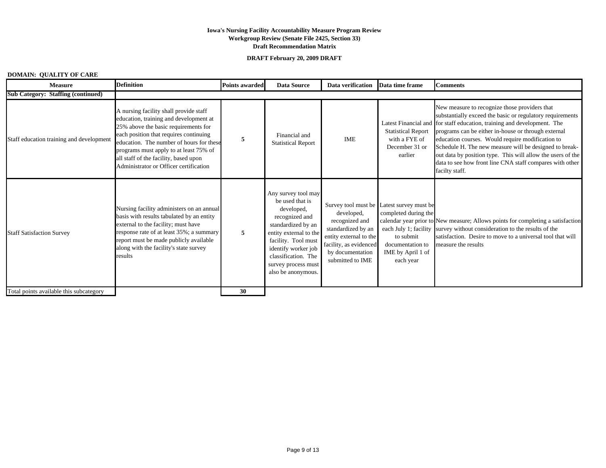**DRAFT February 20, 2009 DRAFT**

# **DOMAIN: QUALITY OF CARE**

| <b>Measure</b>                            | <b>Definition</b>                                                                                                                                                                                                                                                                                                                           | <b>Points awarded</b> | <b>Data Source</b>                                                                                                                                                                                                                       | Data verification                                                                                                                              | Data time frame                                                                                                                                               | <b>Comments</b>                                                                                                                                                                                                                                                                                                                                                                                                                                                                    |
|-------------------------------------------|---------------------------------------------------------------------------------------------------------------------------------------------------------------------------------------------------------------------------------------------------------------------------------------------------------------------------------------------|-----------------------|------------------------------------------------------------------------------------------------------------------------------------------------------------------------------------------------------------------------------------------|------------------------------------------------------------------------------------------------------------------------------------------------|---------------------------------------------------------------------------------------------------------------------------------------------------------------|------------------------------------------------------------------------------------------------------------------------------------------------------------------------------------------------------------------------------------------------------------------------------------------------------------------------------------------------------------------------------------------------------------------------------------------------------------------------------------|
| <b>Sub Category: Staffing (continued)</b> |                                                                                                                                                                                                                                                                                                                                             |                       |                                                                                                                                                                                                                                          |                                                                                                                                                |                                                                                                                                                               |                                                                                                                                                                                                                                                                                                                                                                                                                                                                                    |
| Staff education training and development  | A nursing facility shall provide staff<br>education, training and development at<br>25% above the basic requirements for<br>each position that requires continuing<br>education. The number of hours for these<br>programs must apply to at least 75% of<br>all staff of the facility, based upon<br>Administrator or Officer certification | 5                     | Financial and<br><b>Statistical Report</b>                                                                                                                                                                                               | <b>IME</b>                                                                                                                                     | Latest Financial and<br><b>Statistical Report</b><br>with a FYE of<br>December 31 or<br>earlier                                                               | New measure to recognize those providers that<br>substantially exceed the basic or regulatory requirements<br>for staff education, training and development. The<br>programs can be either in-house or through external<br>education courses. Would require modification to<br>Schedule H. The new measure will be designed to break-<br>out data by position type. This will allow the users of the<br>data to see how front line CNA staff compares with other<br>facilty staff. |
| <b>Staff Satisfaction Survey</b>          | Nursing facility administers on an annual<br>basis with results tabulated by an entity<br>external to the facility; must have<br>response rate of at least 35%; a summary<br>report must be made publicly available<br>along with the facility's state survey<br>results                                                                    | 5                     | Any survey tool may<br>be used that is<br>developed,<br>recognized and<br>standardized by an<br>entity external to the<br>facility. Tool must<br>identify worker job<br>classification. The<br>survey process must<br>also be anonymous. | developed,<br>recognized and<br>standardized by an<br>entity external to the<br>facility, as evidenced<br>by documentation<br>submitted to IME | Survey tool must be Latest survey must be<br>completed during the<br>each July 1; facility<br>to submit<br>documentation to<br>IME by April 1 of<br>each year | calendar year prior to New measure; Allows points for completing a satisfaction<br>survey without consideration to the results of the<br>satisfaction. Desire to move to a universal tool that will<br>measure the results                                                                                                                                                                                                                                                         |
| Total points available this subcategory   |                                                                                                                                                                                                                                                                                                                                             | 30                    |                                                                                                                                                                                                                                          |                                                                                                                                                |                                                                                                                                                               |                                                                                                                                                                                                                                                                                                                                                                                                                                                                                    |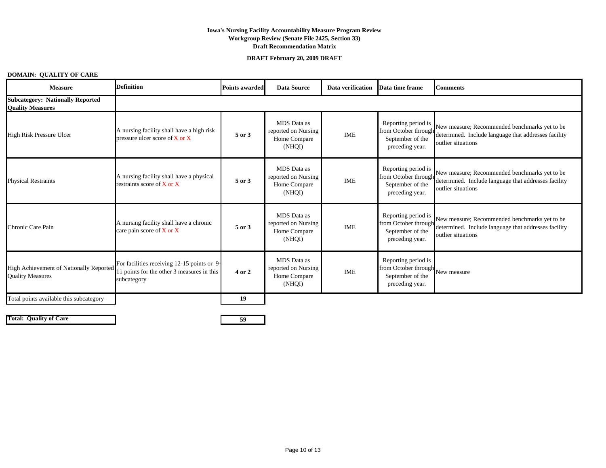**DRAFT February 20, 2009 DRAFT**

# **DOMAIN: QUALITY OF CARE**

| <b>Measure</b>                                                     | <b>Definition</b>                                                                                        | <b>Points awarded</b> | <b>Data Source</b>                                                  | Data verification | Data time frame                                                                    | <b>Comments</b>                                                                                                             |
|--------------------------------------------------------------------|----------------------------------------------------------------------------------------------------------|-----------------------|---------------------------------------------------------------------|-------------------|------------------------------------------------------------------------------------|-----------------------------------------------------------------------------------------------------------------------------|
| <b>Subcategory: Nationally Reported</b><br><b>Ouality Measures</b> |                                                                                                          |                       |                                                                     |                   |                                                                                    |                                                                                                                             |
| High Risk Pressure Ulcer                                           | A nursing facility shall have a high risk<br>pressure ulcer score of $X$ or $X$                          | 5 or 3                | <b>MDS</b> Data as<br>reported on Nursing<br>Home Compare<br>(NHQI) | <b>IME</b>        | Reporting period is<br>from October through<br>September of the<br>preceding year. | New measure; Recommended benchmarks yet to be<br>determined. Include language that addresses facility<br>outlier situations |
| <b>Physical Restraints</b>                                         | A nursing facility shall have a physical<br>restraints score of X or X                                   | 5 or 3                | <b>MDS</b> Data as<br>reported on Nursing<br>Home Compare<br>(NHQI) | <b>IME</b>        | Reporting period is<br>from October through<br>September of the<br>preceding year. | New measure; Recommended benchmarks yet to be<br>determined. Include language that addresses facility<br>outlier situations |
| Chronic Care Pain                                                  | A nursing facility shall have a chronic<br>care pain score of $X$ or $X$                                 | 5 or 3                | MDS Data as<br>reported on Nursing<br>Home Compare<br>(NHQI)        | <b>IME</b>        | Reporting period is<br>from October through<br>September of the<br>preceding year. | New measure; Recommended benchmarks yet to be<br>determined. Include language that addresses facility<br>outlier situations |
| High Achievement of Nationally Reported<br><b>Quality Measures</b> | For facilities receiving 12-15 points or 9-<br>11 points for the other 3 measures in this<br>subcategory | 4 or 2                | <b>MDS</b> Data as<br>reported on Nursing<br>Home Compare<br>(NHQI) | <b>IME</b>        | Reporting period is<br>from October through<br>September of the<br>preceding year. | New measure                                                                                                                 |
| Total points available this subcategory                            |                                                                                                          | 19                    |                                                                     |                   |                                                                                    |                                                                                                                             |

**Total: Quality of Care** 

 $59$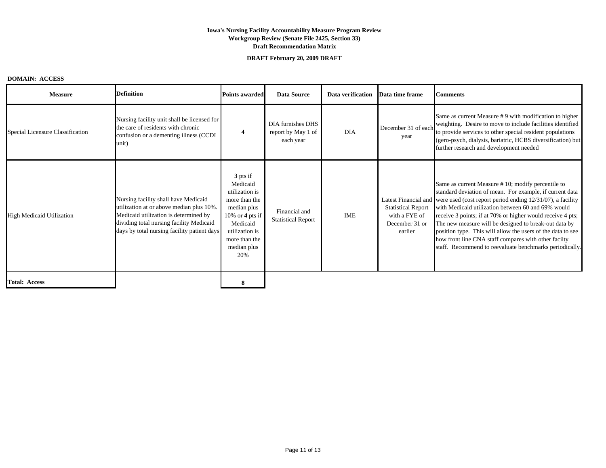**DRAFT February 20, 2009 DRAFT**

#### **DOMAIN: ACCESS**

| <b>Measure</b>                   | <b>Definition</b>                                                                                                                                                                                                    | <b>Points awarded</b>                                                                                                                                          | Data Source                                          | Data verification | Data time frame                                                         | Comments                                                                                                                                                                                                                                                                                                                                                                                                                                                                                                                                                        |
|----------------------------------|----------------------------------------------------------------------------------------------------------------------------------------------------------------------------------------------------------------------|----------------------------------------------------------------------------------------------------------------------------------------------------------------|------------------------------------------------------|-------------------|-------------------------------------------------------------------------|-----------------------------------------------------------------------------------------------------------------------------------------------------------------------------------------------------------------------------------------------------------------------------------------------------------------------------------------------------------------------------------------------------------------------------------------------------------------------------------------------------------------------------------------------------------------|
| Special Licensure Classification | Nursing facility unit shall be licensed for<br>the care of residents with chronic<br>confusion or a dementing illness (CCDI<br>unit)                                                                                 | $\overline{\mathbf{4}}$                                                                                                                                        | DIA furnishes DHS<br>report by May 1 of<br>each year | <b>DIA</b>        | December 31 of each<br>year                                             | Same as current Measure #9 with modification to higher<br>weighting. Desire to move to include facilities identified<br>to provide services to other special resident populations<br>(gero-psych, dialysis, bariatric, HCBS diversification) but<br>further research and development needed                                                                                                                                                                                                                                                                     |
| <b>High Medicaid Utilization</b> | Nursing facility shall have Medicaid<br>utilization at or above median plus 10%.<br>Medicaid utilization is determined by<br>dividing total nursing facility Medicaid<br>days by total nursing facility patient days | 3 pts if<br>Medicaid<br>utilization is<br>more than the<br>median plus<br>10% or 4 pts if<br>Medicaid<br>utilization is<br>more than the<br>median plus<br>20% | Financial and<br><b>Statistical Report</b>           | <b>IME</b>        | <b>Statistical Report</b><br>with a FYE of<br>December 31 or<br>earlier | Same as current Measure #10; modify percentile to<br>standard deviation of mean. For example, if current data<br>Latest Financial and were used (cost report period ending 12/31/07), a facility<br>with Medicaid utilization between 60 and 69% would<br>receive 3 points; if at 70% or higher would receive 4 pts;<br>The new measure will be designed to break-out data by<br>position type. This will allow the users of the data to see<br>how front line CNA staff compares with other facilty<br>staff. Recommend to reevaluate benchmarks periodically. |
| <b>Total: Access</b>             |                                                                                                                                                                                                                      | 8                                                                                                                                                              |                                                      |                   |                                                                         |                                                                                                                                                                                                                                                                                                                                                                                                                                                                                                                                                                 |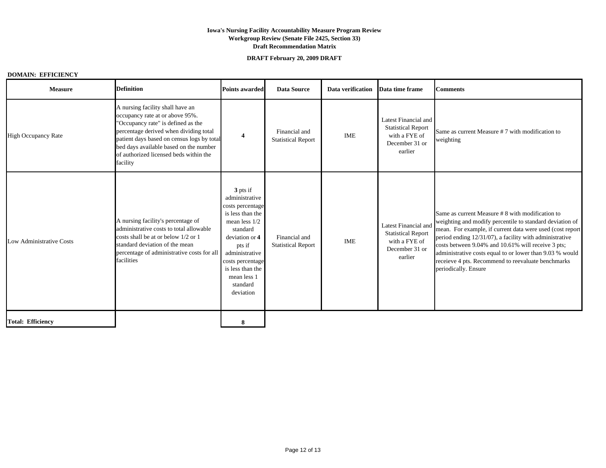**DRAFT February 20, 2009 DRAFT**

### **DOMAIN: EFFICIENCY**

| <b>Measure</b>             | <b>Definition</b>                                                                                                                                                                                                                                                                                 | <b>Points awarded</b>                                                                                                                                                                                                         | <b>Data Source</b>                         | Data verification | Data time frame                                                                                 | <b>Comments</b>                                                                                                                                                                                                                                                                                                                                                                                                                     |
|----------------------------|---------------------------------------------------------------------------------------------------------------------------------------------------------------------------------------------------------------------------------------------------------------------------------------------------|-------------------------------------------------------------------------------------------------------------------------------------------------------------------------------------------------------------------------------|--------------------------------------------|-------------------|-------------------------------------------------------------------------------------------------|-------------------------------------------------------------------------------------------------------------------------------------------------------------------------------------------------------------------------------------------------------------------------------------------------------------------------------------------------------------------------------------------------------------------------------------|
| <b>High Occupancy Rate</b> | A nursing facility shall have an<br>occupancy rate at or above 95%.<br>'Occupancy rate" is defined as the<br>percentage derived when dividing total<br>patient days based on census logs by total<br>bed days available based on the number<br>of authorized licensed beds within the<br>facility | $\overline{\mathbf{4}}$                                                                                                                                                                                                       | Financial and<br><b>Statistical Report</b> | <b>IME</b>        | Latest Financial and<br><b>Statistical Report</b><br>with a FYE of<br>December 31 or<br>earlier | Same as current Measure #7 with modification to<br>weighting                                                                                                                                                                                                                                                                                                                                                                        |
| Low Administrative Costs   | A nursing facility's percentage of<br>administrative costs to total allowable<br>costs shall be at or below 1/2 or 1<br>standard deviation of the mean<br>percentage of administrative costs for all<br>facilities                                                                                | 3 pts if<br>administrative<br>costs percentage<br>is less than the<br>mean less 1/2<br>standard<br>deviation or 4<br>pts if<br>administrative<br>costs percentage<br>is less than the<br>mean less 1<br>standard<br>deviation | Financial and<br><b>Statistical Report</b> | <b>IME</b>        | Latest Financial and<br><b>Statistical Report</b><br>with a FYE of<br>December 31 or<br>earlier | Same as current Measure #8 with modification to<br>weighting and modify percentile to standard deviation of<br>mean. For example, if current data were used (cost report<br>period ending 12/31/07), a facility with administrative<br>costs between 9.04% and 10.61% will receive 3 pts;<br>administrative costs equal to or lower than 9.03 % would<br>receieve 4 pts. Recommend to reevaluate benchmarks<br>periodically. Ensure |
| <b>Total: Efficiency</b>   |                                                                                                                                                                                                                                                                                                   | 8                                                                                                                                                                                                                             |                                            |                   |                                                                                                 |                                                                                                                                                                                                                                                                                                                                                                                                                                     |